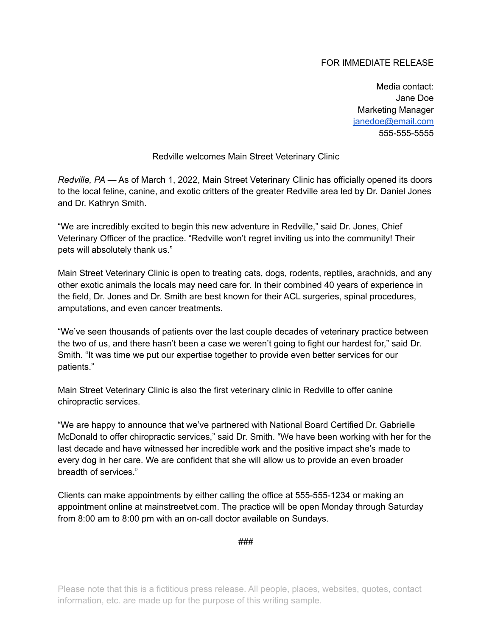## FOR IMMEDIATE RELEASE

Media contact: Jane Doe Marketing Manager [janedoe@email.com](mailto:janedoe@email.com) 555-555-5555

Redville welcomes Main Street Veterinary Clinic

*Redville, PA* — As of March 1, 2022, Main Street Veterinary Clinic has officially opened its doors to the local feline, canine, and exotic critters of the greater Redville area led by Dr. Daniel Jones and Dr. Kathryn Smith.

"We are incredibly excited to begin this new adventure in Redville," said Dr. Jones, Chief Veterinary Officer of the practice. "Redville won't regret inviting us into the community! Their pets will absolutely thank us."

Main Street Veterinary Clinic is open to treating cats, dogs, rodents, reptiles, arachnids, and any other exotic animals the locals may need care for. In their combined 40 years of experience in the field, Dr. Jones and Dr. Smith are best known for their ACL surgeries, spinal procedures, amputations, and even cancer treatments.

"We've seen thousands of patients over the last couple decades of veterinary practice between the two of us, and there hasn't been a case we weren't going to fight our hardest for," said Dr. Smith. "It was time we put our expertise together to provide even better services for our patients."

Main Street Veterinary Clinic is also the first veterinary clinic in Redville to offer canine chiropractic services.

"We are happy to announce that we've partnered with National Board Certified Dr. Gabrielle McDonald to offer chiropractic services," said Dr. Smith. "We have been working with her for the last decade and have witnessed her incredible work and the positive impact she's made to every dog in her care. We are confident that she will allow us to provide an even broader breadth of services."

Clients can make appointments by either calling the office at 555-555-1234 or making an appointment online at mainstreetvet.com. The practice will be open Monday through Saturday from 8:00 am to 8:00 pm with an on-call doctor available on Sundays.

###

Please note that this is a fictitious press release. All people, places, websites, quotes, contact information, etc. are made up for the purpose of this writing sample.